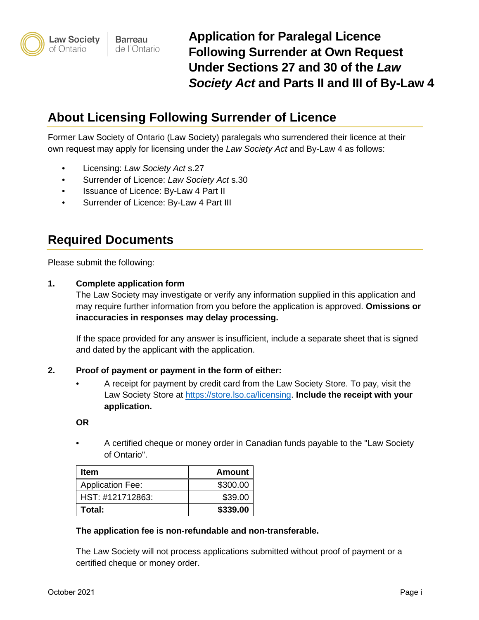# **About Licensing Following Surrender of Licence**

Former Law Society of Ontario (Law Society) paralegals who surrendered their licence at their own request may apply for licensing under the *Law Society Act* and By-Law 4 as follows:

- Licensing: *Law Society Act* s.27
- Surrender of Licence: *Law Society Act* s.30
- Issuance of Licence: By-Law 4 Part II
- Surrender of Licence: By-Law 4 Part III

# **Required Documents**

Please submit the following:

### **1. Complete application form**

The Law Society may investigate or verify any information supplied in this application and may require further information from you before the application is approved. **Omissions or inaccuracies in responses may delay processing.**

If the space provided for any answer is insufficient, include a separate sheet that is signed and dated by the applicant with the application.

### **2. Proof of payment or payment in the form of either:**

• A receipt for payment by credit card from the Law Society Store. To pay, visit the Law Society Store at [https://store.lso.ca/licensing.](https://store.lso.ca/licensing) **Include the receipt with your application.**

**OR**

• A certified cheque or money order in Canadian funds payable to the "Law Society of Ontario".

| <b>Item</b>             | <b>Amount</b> |
|-------------------------|---------------|
| <b>Application Fee:</b> | \$300.00      |
| HST: #121712863:        | \$39.00       |
| Total:                  | \$339.00      |

### **The application fee is non-refundable and non-transferable.**

The Law Society will not process applications submitted without proof of payment or a certified cheque or money order.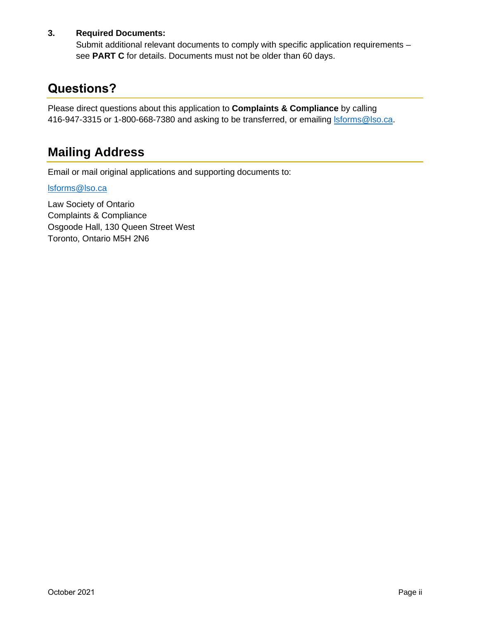# **3. Required Documents:**

Submit additional relevant documents to comply with specific application requirements – see **PART C** for details. Documents must not be older than 60 days.

# **Questions?**

Please direct questions about this application to **Complaints & Compliance** by calling 416-947-3315 or 1-800-668-7380 and asking to be transferred, or emailing storms@lso.ca.

# **Mailing Address**

Email or mail original applications and supporting documents to:

## [lsforms@lso.ca](mailto:lsforms@lso.ca)

Law Society of Ontario Complaints & Compliance Osgoode Hall, 130 Queen Street West Toronto, Ontario M5H 2N6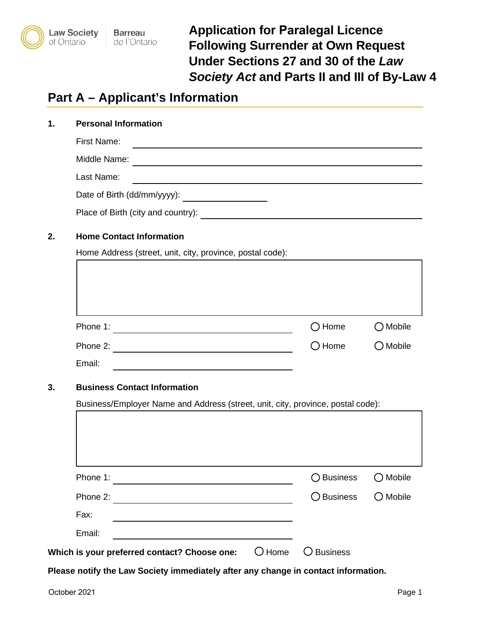

**Application for Paralegal Licence Following Surrender at Own Request Under Sections 27 and 30 of the** *Law Society Act* **and Parts II and III of By-Law 4** 

# **Part A – Applicant's Information**

| <b>First Name:</b>                                            |                                                                                                                      |                                        |
|---------------------------------------------------------------|----------------------------------------------------------------------------------------------------------------------|----------------------------------------|
| Middle Name:                                                  | <u> 1980 - Johann Barbara, martxa alemaniar argametar a contra a contra a contra a contra a contra a contra a co</u> |                                        |
|                                                               | <u> 1989 - Johann Barn, amerikansk politiker (d. 1989)</u>                                                           |                                        |
| Last Name:                                                    | <u> 1989 - Johann Barbara, martxa alemaniar amerikan a</u>                                                           |                                        |
|                                                               |                                                                                                                      |                                        |
| Place of Birth (city and country):                            | <u> 1980 - Andrea Andrew Maria (h. 1980).</u>                                                                        |                                        |
| Home Address (street, unit, city, province, postal code):     |                                                                                                                      |                                        |
|                                                               |                                                                                                                      |                                        |
| Phone 1:<br><u> 1989 - Johann Barbara, martxa alemaniar a</u> | $\bigcirc$ Home                                                                                                      |                                        |
| Phone 2:                                                      | $\bigcirc$ Home                                                                                                      | $\bigcirc$ Mobile<br>$\bigcirc$ Mobile |

# **3. Business Contact Information**

Business/Employer Name and Address (street, unit, city, province, postal code):

| Phone 1:                                     |          | ◯ Business      | Mobile            |
|----------------------------------------------|----------|-----------------|-------------------|
| Phone 2:                                     |          | ○ Business      | $\bigcirc$ Mobile |
| Fax:                                         |          |                 |                   |
| Email:                                       |          |                 |                   |
| Which is your preferred contact? Choose one: | $O$ Home | <b>Business</b> |                   |

**Please notify the Law Society immediately after any change in contact information.**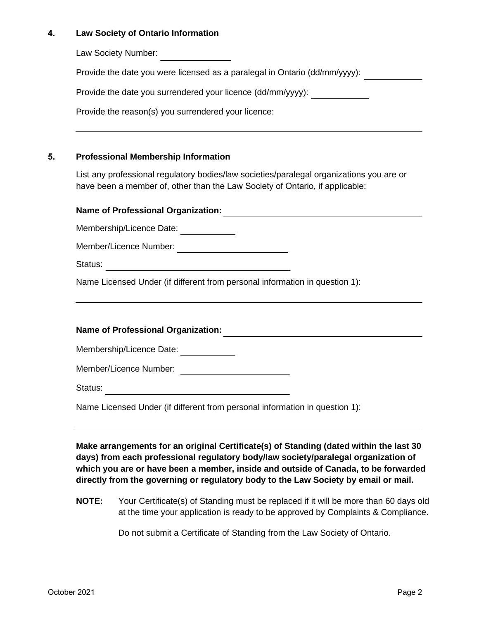### **4. Law Society of Ontario Information**

Law Society Number:

Provide the date you were licensed as a paralegal in Ontario (dd/mm/yyyy):

Provide the date you surrendered your licence (dd/mm/yyyy):

Provide the reason(s) you surrendered your licence:

### **5. Professional Membership Information**

List any professional regulatory bodies/law societies/paralegal organizations you are or have been a member of, other than the Law Society of Ontario, if applicable:

# **Name of Professional Organization:**

Membership/Licence Date:

Member/Licence Number:

Status:

Name Licensed Under (if different from personal information in question 1):

# **Name of Professional Organization:**

Membership/Licence Date: \_\_\_\_\_\_\_\_\_\_\_\_\_

Member/Licence Number:

Status:

Name Licensed Under (if different from personal information in question 1):

**Make arrangements for an original Certificate(s) of Standing (dated within the last 30 days) from each professional regulatory body/law society/paralegal organization of which you are or have been a member, inside and outside of Canada, to be forwarded directly from the governing or regulatory body to the Law Society by email or mail.** 

**NOTE:** Your Certificate(s) of Standing must be replaced if it will be more than 60 days old at the time your application is ready to be approved by Complaints & Compliance.

Do not submit a Certificate of Standing from the Law Society of Ontario.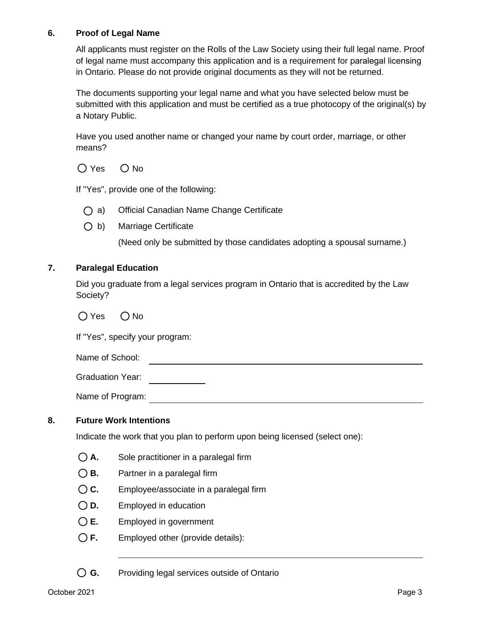### **6. Proof of Legal Name**

All applicants must register on the Rolls of the Law Society using their full legal name. Proof of legal name must accompany this application and is a requirement for paralegal licensing in Ontario. Please do not provide original documents as they will not be returned.

The documents supporting your legal name and what you have selected below must be submitted with this application and must be certified as a true photocopy of the original(s) by a Notary Public.

Have you used another name or changed your name by court order, marriage, or other means?

 $O$  Yes  $O$  No

If "Yes", provide one of the following:

- a) Official Canadian Name Change Certificate
- $\bigcirc$  b) Marriage Certificate

(Need only be submitted by those candidates adopting a spousal surname.)

### **7. Paralegal Education**

Did you graduate from a legal services program in Ontario that is accredited by the Law Society?

 $O$  Yes  $O$  No

If "Yes", specify your program:

Name of School:

Graduation Year: 

Name of Program: <u>Alexander Communication</u> of Program:

### **8. Future Work Intentions**

Indicate the work that you plan to perform upon being licensed (select one):

- **A.** Sole practitioner in a paralegal firm
- **B.** Partner in a paralegal firm
- **C.** Employee/associate in a paralegal firm
- **D.** Employed in education
- **E.** Employed in government
- **F.** Employed other (provide details):

**G.** Providing legal services outside of Ontario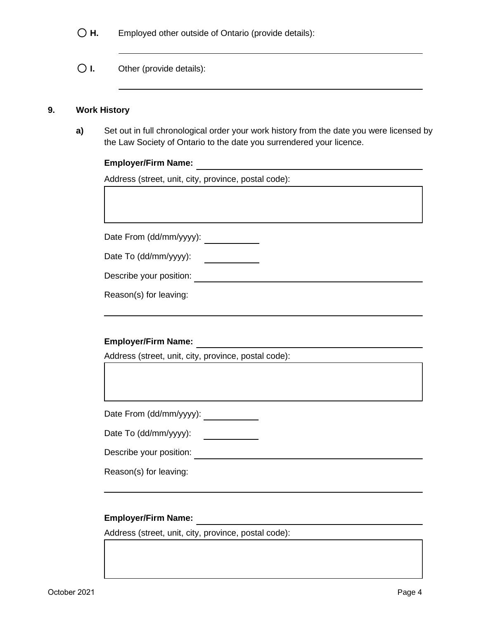- **H.** Employed other outside of Ontario (provide details):
- **I.** Other (provide details):

#### **9. Work History**

**a)** Set out in full chronological order your work history from the date you were licensed by the Law Society of Ontario to the date you surrendered your licence.

# **Employer/Firm Name:**

Address (street, unit, city, province, postal code):

Date From (dd/mm/yyyy): \_\_\_\_\_\_\_\_\_\_\_\_

| Date To (dd/mm/yyyy): |  |
|-----------------------|--|
|-----------------------|--|

Describe your position:

Reason(s) for leaving:

# **Employer/Firm Name:**

Address (street, unit, city, province, postal code):

Date From (dd/mm/yyyy): \_\_\_\_\_\_\_\_\_\_\_\_\_

Date To (dd/mm/yyyy):

Describe your position:

Reason(s) for leaving:

### **Employer/Firm Name:**

Address (street, unit, city, province, postal code):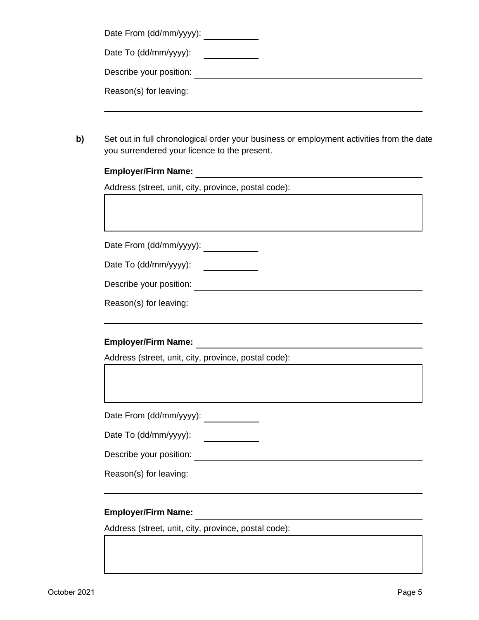| Date From (dd/mm/yyyy): |  |
|-------------------------|--|
|-------------------------|--|

Date To (dd/mm/yyyy):

Describe your position:

Reason(s) for leaving:

**b)** Set out in full chronological order your business or employment activities from the date you surrendered your licence to the present.

# **Employer/Firm Name:**

Address (street, unit, city, province, postal code):

Date From (dd/mm/yyyy): \_\_\_\_\_\_\_\_\_\_\_\_

Date To (dd/mm/yyyy): <u>and the state of the state</u>

Describe your position: **Describe your position:** 

Reason(s) for leaving:

# **Employer/Firm Name:**

Address (street, unit, city, province, postal code):

Date From (dd/mm/yyyy): \_\_\_\_\_\_\_\_\_\_\_\_

Date To (dd/mm/yyyy): 

Describe your position: <u>Describe your position:</u>

Reason(s) for leaving:

# **Employer/Firm Name:**

Address (street, unit, city, province, postal code):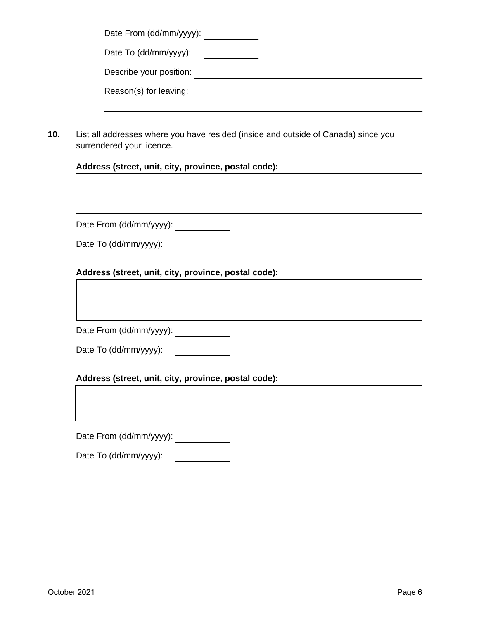| Date From (dd/mm/yyyy): |  |
|-------------------------|--|
| Date To (dd/mm/yyyy):   |  |
| Describe your position: |  |
| Reason(s) for leaving:  |  |

**10.** List all addresses where you have resided (inside and outside of Canada) since you surrendered your licence.

### **Address (street, unit, city, province, postal code):**

Date From (dd/mm/yyyy): \_\_\_\_\_\_\_\_\_\_\_\_\_

|  | Date To (dd/mm/yyyy): |
|--|-----------------------|
|--|-----------------------|

### **Address (street, unit, city, province, postal code):**

Date From (dd/mm/yyyy): \_\_\_\_\_\_\_\_\_\_\_\_

| Date To (dd/mm/yyyy): |  |
|-----------------------|--|
|-----------------------|--|

### **Address (street, unit, city, province, postal code):**

Date From (dd/mm/yyyy): \_\_\_\_\_\_\_\_\_\_\_\_\_

Date To (dd/mm/yyyy): \_\_\_\_\_\_\_\_\_\_\_\_\_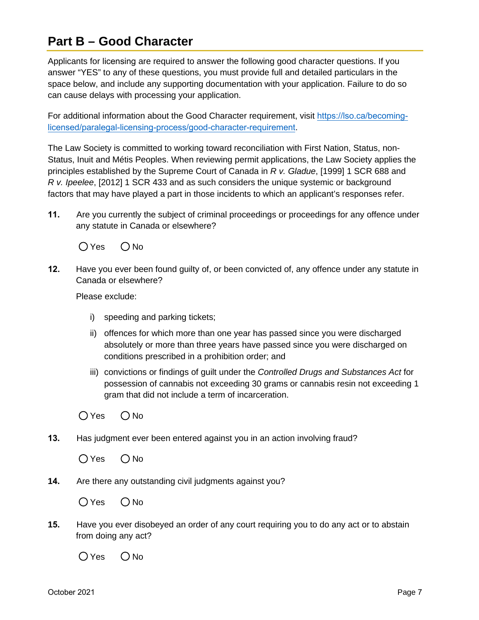# **Part B – Good Character**

Applicants for licensing are required to answer the following good character questions. If you answer "YES" to any of these questions, you must provide full and detailed particulars in the space below, and include any supporting documentation with your application. Failure to do so can cause delays with processing your application.

For additional information about the Good Character requirement, visit [https://lso.ca/becoming](https://lso.ca/becoming-licensed/paralegal-licensing-process/good-character-requirement)[licensed/paralegal-licensing-process/good-character-requirement](https://lso.ca/becoming-licensed/paralegal-licensing-process/good-character-requirement).

The Law Society is committed to working toward reconciliation with First Nation, Status, non-Status, Inuit and Métis Peoples. When reviewing permit applications, the Law Society applies the principles established by the Supreme Court of Canada in *R v. Gladue*, [1999] 1 SCR 688 and *R v. Ipeelee*, [2012] 1 SCR 433 and as such considers the unique systemic or background factors that may have played a part in those incidents to which an applicant's responses refer.

**11.** Are you currently the subject of criminal proceedings or proceedings for any offence under any statute in Canada or elsewhere?

 $OYes$   $ONo$ 

**12.** Have you ever been found guilty of, or been convicted of, any offence under any statute in Canada or elsewhere?

Please exclude:

- i) speeding and parking tickets;
- ii) offences for which more than one year has passed since you were discharged absolutely or more than three years have passed since you were discharged on conditions prescribed in a prohibition order; and
- iii) convictions or findings of guilt under the *Controlled Drugs and Substances Act* for possession of cannabis not exceeding 30 grams or cannabis resin not exceeding 1 gram that did not include a term of incarceration.

 $OYes$   $ONo$ 

**13.** Has judgment ever been entered against you in an action involving fraud?

 $OYes$   $ONo$ 

**14.** Are there any outstanding civil judgments against you?

 $OYes$   $ONo$ 

**15.** Have you ever disobeyed an order of any court requiring you to do any act or to abstain from doing any act?

 $OYes$   $ONo$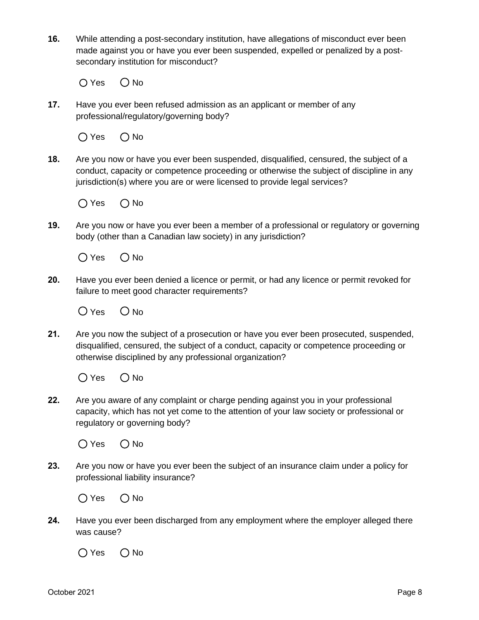**16.** While attending a post-secondary institution, have allegations of misconduct ever been made against you or have you ever been suspended, expelled or penalized by a postsecondary institution for misconduct?

 $OYes$   $ONo$ 

**17.** Have you ever been refused admission as an applicant or member of any professional/regulatory/governing body?

 $O$  Yes  $O$  No

**18.** Are you now or have you ever been suspended, disqualified, censured, the subject of a conduct, capacity or competence proceeding or otherwise the subject of discipline in any jurisdiction(s) where you are or were licensed to provide legal services?

 $O$  Yes  $O$  No

**19.** Are you now or have you ever been a member of a professional or regulatory or governing body (other than a Canadian law society) in any jurisdiction?

 $O$  Yes  $O$  No

**20.** Have you ever been denied a licence or permit, or had any licence or permit revoked for failure to meet good character requirements?

 $O$  Yes  $O$  No.

**21.** Are you now the subject of a prosecution or have you ever been prosecuted, suspended, disqualified, censured, the subject of a conduct, capacity or competence proceeding or otherwise disciplined by any professional organization?

 $O$  Yes  $O$  No

**22.** Are you aware of any complaint or charge pending against you in your professional capacity, which has not yet come to the attention of your law society or professional or regulatory or governing body?



**23.** Are you now or have you ever been the subject of an insurance claim under a policy for professional liability insurance?

 $O$  Yes  $O$  No

**24.** Have you ever been discharged from any employment where the employer alleged there was cause?

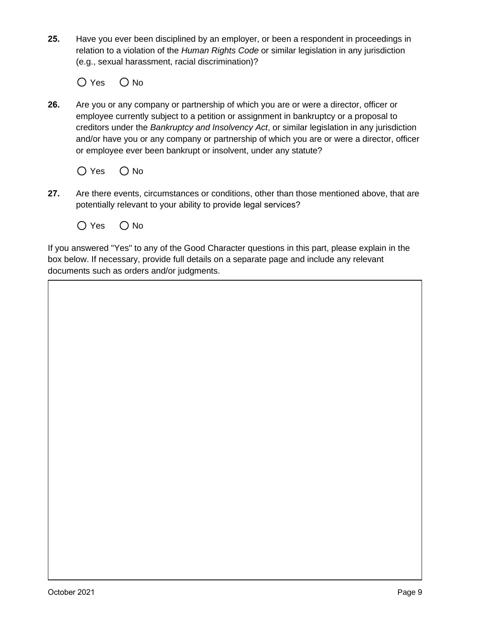**25.** Have you ever been disciplined by an employer, or been a respondent in proceedings in relation to a violation of the *Human Rights Code* or similar legislation in any jurisdiction (e.g., sexual harassment, racial discrimination)?

 $O$  Yes  $O$  No

**26.** Are you or any company or partnership of which you are or were a director, officer or employee currently subject to a petition or assignment in bankruptcy or a proposal to creditors under the *Bankruptcy and Insolvency Act*, or similar legislation in any jurisdiction and/or have you or any company or partnership of which you are or were a director, officer or employee ever been bankrupt or insolvent, under any statute?



- **27.** Are there events, circumstances or conditions, other than those mentioned above, that are potentially relevant to your ability to provide legal services?
	- $O$  Yes  $O$  No

If you answered "Yes" to any of the Good Character questions in this part, please explain in the box below. If necessary, provide full details on a separate page and include any relevant documents such as orders and/or judgments.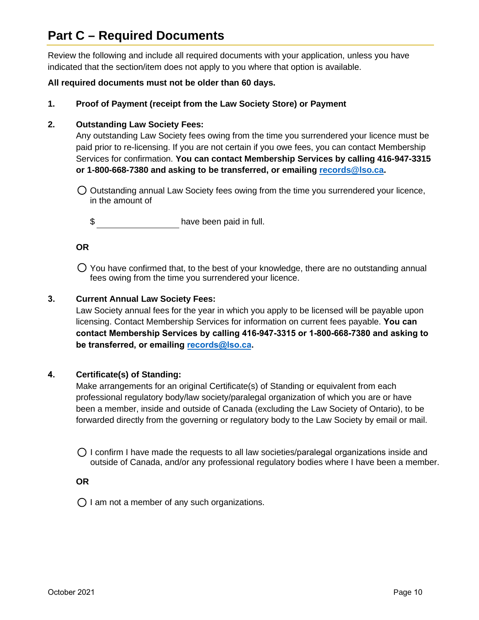# **Part C – Required Documents**

Review the following and include all required documents with your application, unless you have indicated that the section/item does not apply to you where that option is available.

## **All required documents must not be older than 60 days.**

**1. Proof of Payment (receipt from the Law Society Store) or Payment**

## **2. Outstanding Law Society Fees:**

Any outstanding Law Society fees owing from the time you surrendered your licence must be paid prior to re-licensing. If you are not certain if you owe fees, you can contact Membership Services for confirmation. **You can contact Membership Services by calling 416-947-3315 or 1-800-668-7380 and asking to be transferred, or emailing [records@lso.ca.](mailto:records@lso.ca)**

 $\bigcirc$  Outstanding annual Law Society fees owing from the time you surrendered your licence, in the amount of

\$

### **OR**

You have confirmed that, to the best of your knowledge, there are no outstanding annual fees owing from the time you surrendered your licence.

## **3. Current Annual Law Society Fees:**

Law Society annual fees for the year in which you apply to be licensed will be payable upon licensing. Contact Membership Services for information on current fees payable. **You can contact Membership Services by calling 416-947-3315 or 1-800-668-7380 and asking to be transferred, or emailing [records@lso.ca.](mailto:records@lso.ca)**

### **4. Certificate(s) of Standing:**

Make arrangements for an original Certificate(s) of Standing or equivalent from each professional regulatory body/law society/paralegal organization of which you are or have been a member, inside and outside of Canada (excluding the Law Society of Ontario), to be forwarded directly from the governing or regulatory body to the Law Society by email or mail.

 $\bigcirc$  I confirm I have made the requests to all law societies/paralegal organizations inside and outside of Canada, and/or any professional regulatory bodies where I have been a member.

**OR**

 $\bigcirc$  I am not a member of any such organizations.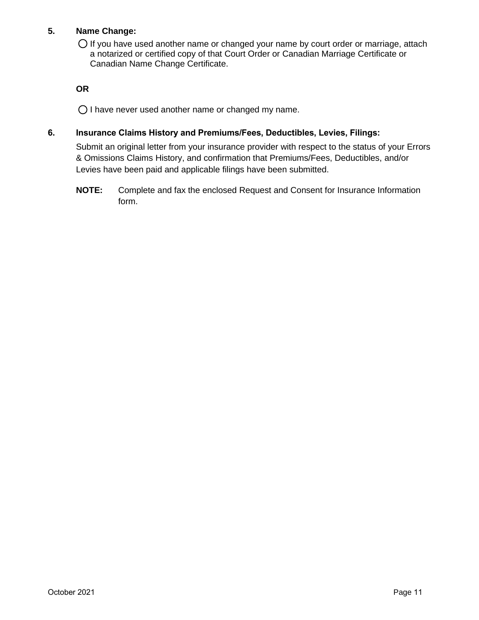# **5. Name Change:**

 $O$  If you have used another name or changed your name by court order or marriage, attach a notarized or certified copy of that Court Order or Canadian Marriage Certificate or Canadian Name Change Certificate.

**OR**

 $\bigcirc$  I have never used another name or changed my name.

### **6. Insurance Claims History and Premiums/Fees, Deductibles, Levies, Filings:**

Submit an original letter from your insurance provider with respect to the status of your Errors & Omissions Claims History, and confirmation that Premiums/Fees, Deductibles, and/or Levies have been paid and applicable filings have been submitted.

**NOTE:** Complete and fax the enclosed Request and Consent for Insurance Information form.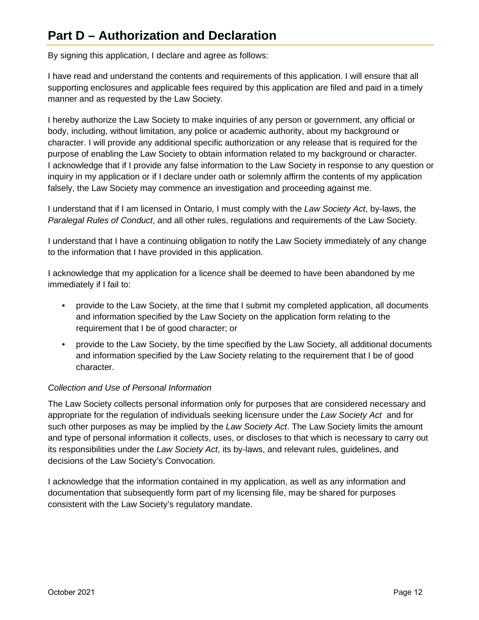# **Part D – Authorization and Declaration**

By signing this application, I declare and agree as follows:

I have read and understand the contents and requirements of this application. I will ensure that all supporting enclosures and applicable fees required by this application are filed and paid in a timely manner and as requested by the Law Society.

I hereby authorize the Law Society to make inquiries of any person or government, any official or body, including, without limitation, any police or academic authority, about my background or character. I will provide any additional specific authorization or any release that is required for the purpose of enabling the Law Society to obtain information related to my background or character. I acknowledge that if I provide any false information to the Law Society in response to any question or inquiry in my application or if I declare under oath or solemnly affirm the contents of my application falsely, the Law Society may commence an investigation and proceeding against me.

I understand that if I am licensed in Ontario, I must comply with the *Law Society Act*, by-laws, the *Paralegal Rules of Conduct*, and all other rules, regulations and requirements of the Law Society.

I understand that I have a continuing obligation to notify the Law Society immediately of any change to the information that I have provided in this application.

I acknowledge that my application for a licence shall be deemed to have been abandoned by me immediately if I fail to:

- provide to the Law Society, at the time that I submit my completed application, all documents and information specified by the Law Society on the application form relating to the requirement that I be of good character; or
- provide to the Law Society, by the time specified by the Law Society, all additional documents and information specified by the Law Society relating to the requirement that I be of good character.

# *Collection and Use of Personal Information*

The Law Society collects personal information only for purposes that are considered necessary and appropriate for the regulation of individuals seeking licensure under the *Law Society Act* and for such other purposes as may be implied by the *Law Society Act*. The Law Society limits the amount and type of personal information it collects, uses, or discloses to that which is necessary to carry out its responsibilities under the *Law Society Act*, its by-laws, and relevant rules, guidelines, and decisions of the Law Society's Convocation.

I acknowledge that the information contained in my application, as well as any information and documentation that subsequently form part of my licensing file, may be shared for purposes consistent with the Law Society's regulatory mandate.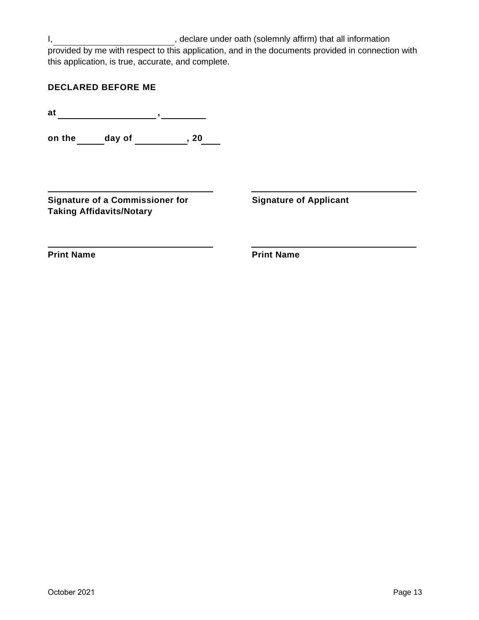I, state of the clare under oath (solemnly affirm) that all information provided by me with respect to this application, and in the documents provided in connection with this application, is true, accurate, and complete.

| <b>DECLARED BEFORE ME</b> |  |  |  |  |  |  |  |  |  |  |  |  |
|---------------------------|--|--|--|--|--|--|--|--|--|--|--|--|
|---------------------------|--|--|--|--|--|--|--|--|--|--|--|--|

**at ,**

**on the \_\_\_\_\_\_ day of \_\_\_\_\_\_\_\_\_\_\_, 20\_\_\_\_** 

**Signature of a Commissioner for Taking Affidavits/Notary**

**Signature of Applicant**

**Print Name**

**Print Name**